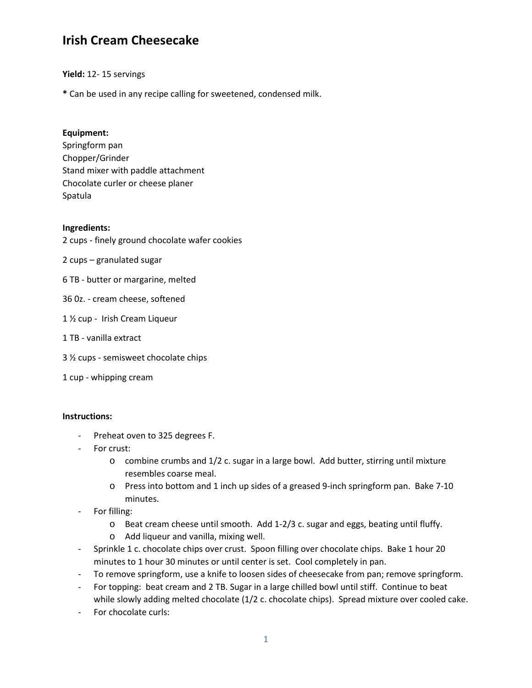# **Irish Cream Cheesecake**

**Yield:** 12- 15 servings

**\*** Can be used in any recipe calling for sweetened, condensed milk.

### **Equipment:**

Springform pan Chopper/Grinder Stand mixer with paddle attachment Chocolate curler or cheese planer Spatula

### **Ingredients:**

2 cups - finely ground chocolate wafer cookies

- 2 cups granulated sugar
- 6 TB butter or margarine, melted
- 36 0z. cream cheese, softened
- 1 ½ cup Irish Cream Liqueur
- 1 TB vanilla extract
- 3 ½ cups semisweet chocolate chips
- 1 cup whipping cream

#### **Instructions:**

- Preheat oven to 325 degrees F.
- For crust:
	- o combine crumbs and 1/2 c. sugar in a large bowl. Add butter, stirring until mixture resembles coarse meal.
	- o Press into bottom and 1 inch up sides of a greased 9-inch springform pan. Bake 7-10 minutes.
- For filling:
	- o Beat cream cheese until smooth. Add 1-2/3 c. sugar and eggs, beating until fluffy.
	- o Add liqueur and vanilla, mixing well.
- Sprinkle 1 c. chocolate chips over crust. Spoon filling over chocolate chips. Bake 1 hour 20 minutes to 1 hour 30 minutes or until center is set. Cool completely in pan.
- To remove springform, use a knife to loosen sides of cheesecake from pan; remove springform.
- For topping: beat cream and 2 TB. Sugar in a large chilled bowl until stiff. Continue to beat while slowly adding melted chocolate (1/2 c. chocolate chips). Spread mixture over cooled cake.
- For chocolate curls: